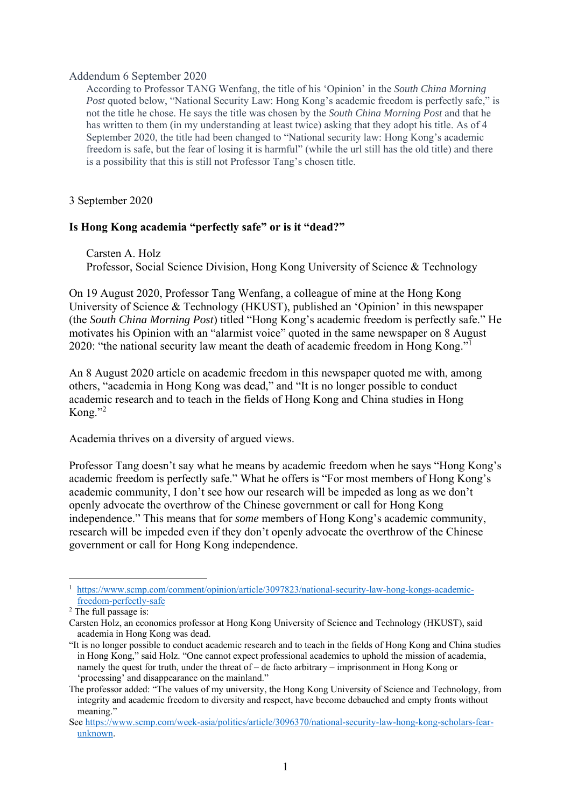## Addendum 6 September 2020

According to Professor TANG Wenfang, the title of his 'Opinion' in the *South China Morning Post* quoted below, "National Security Law: Hong Kong's academic freedom is perfectly safe," is not the title he chose. He says the title was chosen by the *South China Morning Post* and that he has written to them (in my understanding at least twice) asking that they adopt his title. As of 4 September 2020, the title had been changed to "National security law: Hong Kong's academic freedom is safe, but the fear of losing it is harmful" (while the url still has the old title) and there is a possibility that this is still not Professor Tang's chosen title.

3 September 2020

## **Is Hong Kong academia "perfectly safe" or is it "dead?"**

Carsten A. Holz Professor, Social Science Division, Hong Kong University of Science & Technology

On 19 August 2020, Professor Tang Wenfang, a colleague of mine at the Hong Kong University of Science & Technology (HKUST), published an 'Opinion' in this newspaper (the *South China Morning Post*) titled "Hong Kong's academic freedom is perfectly safe." He motivates his Opinion with an "alarmist voice" quoted in the same newspaper on 8 August 2020: "the national security law meant the death of academic freedom in Hong Kong."<sup>1</sup>

An 8 August 2020 article on academic freedom in this newspaper quoted me with, among others, "academia in Hong Kong was dead," and "It is no longer possible to conduct academic research and to teach in the fields of Hong Kong and China studies in Hong Kong." $^{2}$ 

Academia thrives on a diversity of argued views.

Professor Tang doesn't say what he means by academic freedom when he says "Hong Kong's academic freedom is perfectly safe." What he offers is "For most members of Hong Kong's academic community, I don't see how our research will be impeded as long as we don't openly advocate the overthrow of the Chinese government or call for Hong Kong independence." This means that for *some* members of Hong Kong's academic community, research will be impeded even if they don't openly advocate the overthrow of the Chinese government or call for Hong Kong independence.

<sup>1</sup> <sup>1</sup> https://www.scmp.com/comment/opinion/article/3097823/national-security-law-hong-kongs-academicfreedom-perfectly-safe 2

 $2$  The full passage is:

Carsten Holz, an economics professor at Hong Kong University of Science and Technology (HKUST), said academia in Hong Kong was dead.

<sup>&</sup>quot;It is no longer possible to conduct academic research and to teach in the fields of Hong Kong and China studies in Hong Kong," said Holz. "One cannot expect professional academics to uphold the mission of academia, namely the quest for truth, under the threat of – de facto arbitrary – imprisonment in Hong Kong or 'processing' and disappearance on the mainland."

The professor added: "The values of my university, the Hong Kong University of Science and Technology, from integrity and academic freedom to diversity and respect, have become debauched and empty fronts without meaning."

See https://www.scmp.com/week-asia/politics/article/3096370/national-security-law-hong-kong-scholars-fearunknown.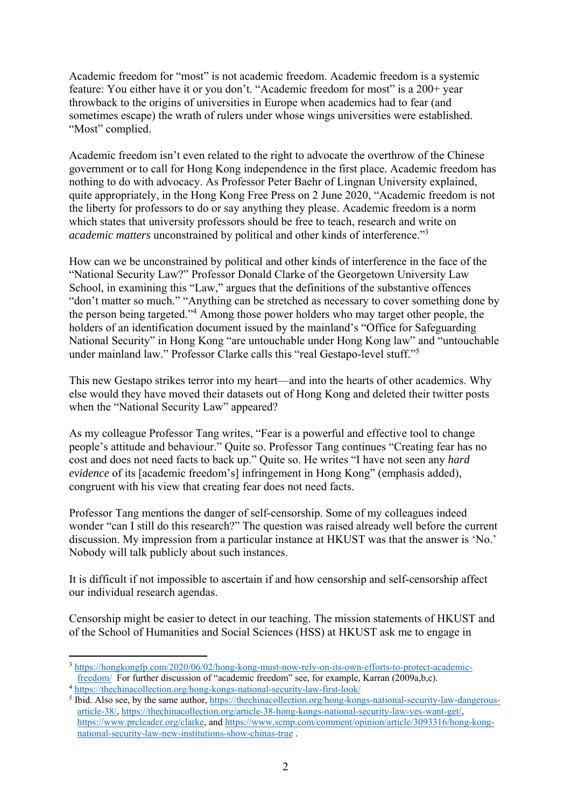Academic freedom for "most" is not academic freedom. Academic freedom is a systemic feature: You either have it or you don't. "Academic freedom for most" is a 200+ year throwback to the origins of universities in Europe when academics had to fear (and sometimes escape) the wrath of rulers under whose wings universities were established. "Most" complied.

Academic freedom isn't even related to the right to advocate the overthrow of the Chinese government or to call for Hong Kong independence in the first place. Academic freedom has nothing to do with advocacy. As Professor Peter Baehr of Lingnan University explained, quite appropriately, in the Hong Kong Free Press on 2 June 2020, "Academic freedom is not the liberty for professors to do or say anything they please. Academic freedom is a norm which states that university professors should be free to teach, research and write on *academic matters* unconstrained by political and other kinds of interference."3

How can we be unconstrained by political and other kinds of interference in the face of the "National Security Law?" Professor Donald Clarke of the Georgetown University Law School, in examining this "Law," argues that the definitions of the substantive offences "don't matter so much." "Anything can be stretched as necessary to cover something done by the person being targeted."4 Among those power holders who may target other people, the holders of an identification document issued by the mainland's "Office for Safeguarding National Security" in Hong Kong "are untouchable under Hong Kong law" and "untouchable under mainland law." Professor Clarke calls this "real Gestapo-level stuff."<sup>5</sup>

This new Gestapo strikes terror into my heart—and into the hearts of other academics. Why else would they have moved their datasets out of Hong Kong and deleted their twitter posts when the "National Security Law" appeared?

As my colleague Professor Tang writes, "Fear is a powerful and effective tool to change people's attitude and behaviour." Quite so. Professor Tang continues "Creating fear has no cost and does not need facts to back up." Quite so. He writes "I have not seen any *hard evidence* of its [academic freedom's] infringement in Hong Kong" (emphasis added), congruent with his view that creating fear does not need facts.

Professor Tang mentions the danger of self-censorship. Some of my colleagues indeed wonder "can I still do this research?" The question was raised already well before the current discussion. My impression from a particular instance at HKUST was that the answer is 'No.' Nobody will talk publicly about such instances.

It is difficult if not impossible to ascertain if and how censorship and self-censorship affect our individual research agendas.

Censorship might be easier to detect in our teaching. The mission statements of HKUST and of the School of Humanities and Social Sciences (HSS) at HKUST ask me to engage in

<sup>1</sup>  $3 \frac{\text{https://hongkongfp.com/2020/06/02/hong-kong-must-now-rely-on-its-own-efforts-to-protect-academic-freedom/}$  For further discussion of "academic freedom" see, for example, Karran (2009a,b,c).

<sup>&</sup>lt;sup>4</sup> https://thechinacollection.o<u>rg/hong-kongs-national-security-law-first-look/</u>

<sup>&</sup>lt;sup>5</sup> Ibid. Also see, by the same author, https://thechinacollection.org/hong-kongs-national-security-law-dangerousarticle-38/, https://thechinacollection.org/article-38-hong-kongs-national-security-law-yes-want-get/, https://www.prcleader.org/clarke, and https://www.scmp.com/comment/opinion/article/3093316/hong-kongnational-security-law-new-institutions-show-chinas-true .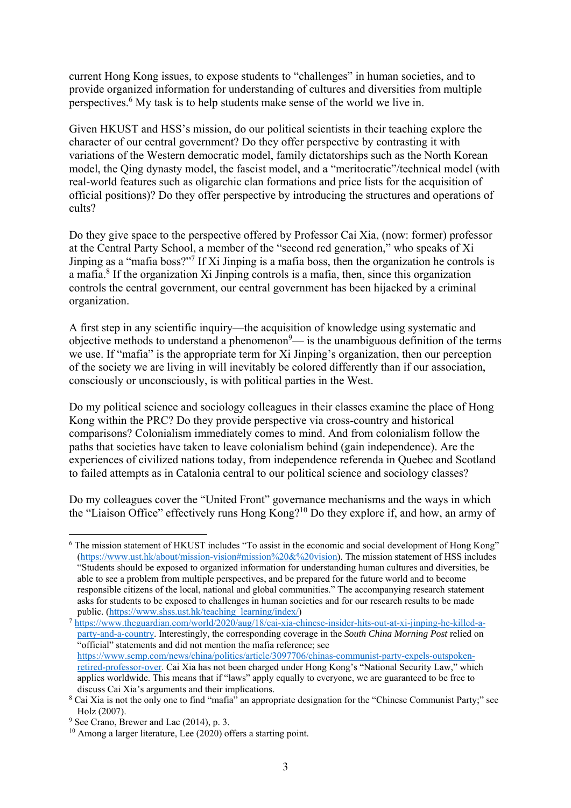current Hong Kong issues, to expose students to "challenges" in human societies, and to provide organized information for understanding of cultures and diversities from multiple perspectives.<sup>6</sup> My task is to help students make sense of the world we live in.

Given HKUST and HSS's mission, do our political scientists in their teaching explore the character of our central government? Do they offer perspective by contrasting it with variations of the Western democratic model, family dictatorships such as the North Korean model, the Qing dynasty model, the fascist model, and a "meritocratic"/technical model (with real-world features such as oligarchic clan formations and price lists for the acquisition of official positions)? Do they offer perspective by introducing the structures and operations of cults?

Do they give space to the perspective offered by Professor Cai Xia, (now: former) professor at the Central Party School, a member of the "second red generation," who speaks of Xi Jinping as a "mafia boss?"7 If Xi Jinping is a mafia boss, then the organization he controls is a mafia.<sup>8</sup> If the organization Xi Jinping controls is a mafia, then, since this organization controls the central government, our central government has been hijacked by a criminal organization.

A first step in any scientific inquiry—the acquisition of knowledge using systematic and objective methods to understand a phenomenon $9$ — is the unambiguous definition of the terms we use. If "mafia" is the appropriate term for Xi Jinping's organization, then our perception of the society we are living in will inevitably be colored differently than if our association, consciously or unconsciously, is with political parties in the West.

Do my political science and sociology colleagues in their classes examine the place of Hong Kong within the PRC? Do they provide perspective via cross-country and historical comparisons? Colonialism immediately comes to mind. And from colonialism follow the paths that societies have taken to leave colonialism behind (gain independence). Are the experiences of civilized nations today, from independence referenda in Quebec and Scotland to failed attempts as in Catalonia central to our political science and sociology classes?

Do my colleagues cover the "United Front" governance mechanisms and the ways in which the "Liaison Office" effectively runs Hong Kong?10 Do they explore if, and how, an army of

<sup>&</sup>lt;u>.</u> <sup>6</sup> The mission statement of HKUST includes "To assist in the economic and social development of Hong Kong" (https://www.ust.hk/about/mission-vision#mission%20&%20vision). The mission statement of HSS includes "Students should be exposed to organized information for understanding human cultures and diversities, be able to see a problem from multiple perspectives, and be prepared for the future world and to become responsible citizens of the local, national and global communities." The accompanying research statement asks for students to be exposed to challenges in human societies and for our research results to be made

public. (https://www.shss.ust.hk/teaching\_learning/index/)<br>
<sup>7</sup> https://www.theguardian.com/world/2020/aug/18/cai-xia-chinese-insider-hits-out-at-xi-jinping-he-killed-aparty-and-a-country. Interestingly, the corresponding coverage in the *South China Morning Post* relied on "official" statements and did not mention the mafia reference; see https://www.scmp.com/news/china/politics/article/3097706/chinas-communist-party-expels-outspokenretired-professor-over. Cai Xia has not been charged under Hong Kong's "National Security Law," which applies worldwide. This means that if "laws" apply equally to everyone, we are guaranteed to be free to discuss Cai Xia's arguments and their implications.

<sup>&</sup>lt;sup>8</sup> Cai Xia is not the only one to find "mafia" an appropriate designation for the "Chinese Communist Party;" see Holz (2007).

<sup>9</sup> See Crano, Brewer and Lac (2014), p. 3.

 $10$  Among a larger literature, Lee (2020) offers a starting point.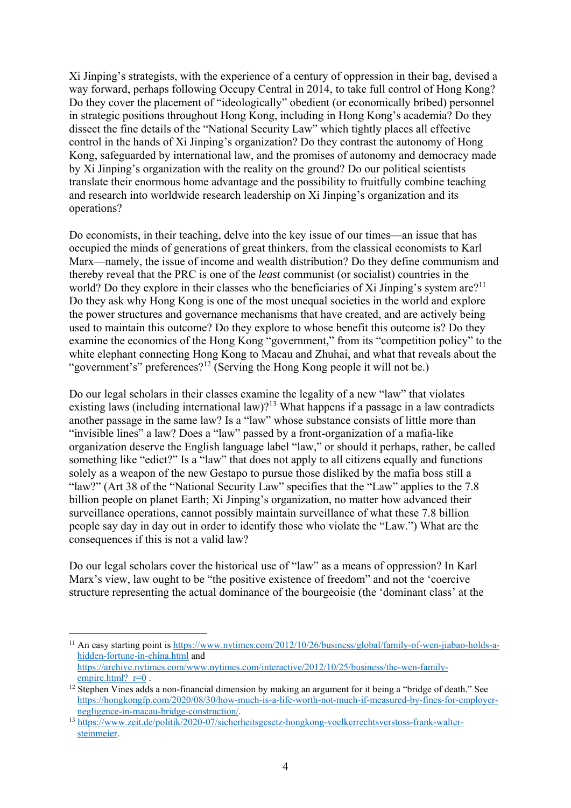Xi Jinping's strategists, with the experience of a century of oppression in their bag, devised a way forward, perhaps following Occupy Central in 2014, to take full control of Hong Kong? Do they cover the placement of "ideologically" obedient (or economically bribed) personnel in strategic positions throughout Hong Kong, including in Hong Kong's academia? Do they dissect the fine details of the "National Security Law" which tightly places all effective control in the hands of Xi Jinping's organization? Do they contrast the autonomy of Hong Kong, safeguarded by international law, and the promises of autonomy and democracy made by Xi Jinping's organization with the reality on the ground? Do our political scientists translate their enormous home advantage and the possibility to fruitfully combine teaching and research into worldwide research leadership on Xi Jinping's organization and its operations?

Do economists, in their teaching, delve into the key issue of our times—an issue that has occupied the minds of generations of great thinkers, from the classical economists to Karl Marx—namely, the issue of income and wealth distribution? Do they define communism and thereby reveal that the PRC is one of the *least* communist (or socialist) countries in the world? Do they explore in their classes who the beneficiaries of Xi Jinping's system are?<sup>11</sup> Do they ask why Hong Kong is one of the most unequal societies in the world and explore the power structures and governance mechanisms that have created, and are actively being used to maintain this outcome? Do they explore to whose benefit this outcome is? Do they examine the economics of the Hong Kong "government," from its "competition policy" to the white elephant connecting Hong Kong to Macau and Zhuhai, and what that reveals about the "government's" preferences?<sup>12</sup> (Serving the Hong Kong people it will not be.)

Do our legal scholars in their classes examine the legality of a new "law" that violates existing laws (including international law)?<sup>13</sup> What happens if a passage in a law contradicts another passage in the same law? Is a "law" whose substance consists of little more than "invisible lines" a law? Does a "law" passed by a front-organization of a mafia-like organization deserve the English language label "law," or should it perhaps, rather, be called something like "edict?" Is a "law" that does not apply to all citizens equally and functions solely as a weapon of the new Gestapo to pursue those disliked by the mafia boss still a "law?" (Art 38 of the "National Security Law" specifies that the "Law" applies to the 7.8 billion people on planet Earth; Xi Jinping's organization, no matter how advanced their surveillance operations, cannot possibly maintain surveillance of what these 7.8 billion people say day in day out in order to identify those who violate the "Law.") What are the consequences if this is not a valid law?

Do our legal scholars cover the historical use of "law" as a means of oppression? In Karl Marx's view, law ought to be "the positive existence of freedom" and not the 'coercive structure representing the actual dominance of the bourgeoisie (the 'dominant class' at the

<u>.</u>

<sup>&</sup>lt;sup>11</sup> An easy starting point is https://www.nytimes.com/2012/10/26/business/global/family-of-wen-jiabao-holds-ahidden-fortune-in-china.html and https://archive.nytimes.com/www.nytimes.com/interactive/2012/10/25/business/the-wen-family-<br>empire.html? r=0.

 $^{12}$  Stephen Vines adds a non-financial dimension by making an argument for it being a "bridge of death." See https://hongkongfp.com/2020/08/30/how-much-is-a-life-worth-not-much-if-measured-by-fines-for-employer-

<sup>&</sup>lt;sup>13</sup> https://www.zeit.de/politik/2020-07/sicherheitsgesetz-hongkong-voelkerrechtsverstoss-frank-waltersteinmeier.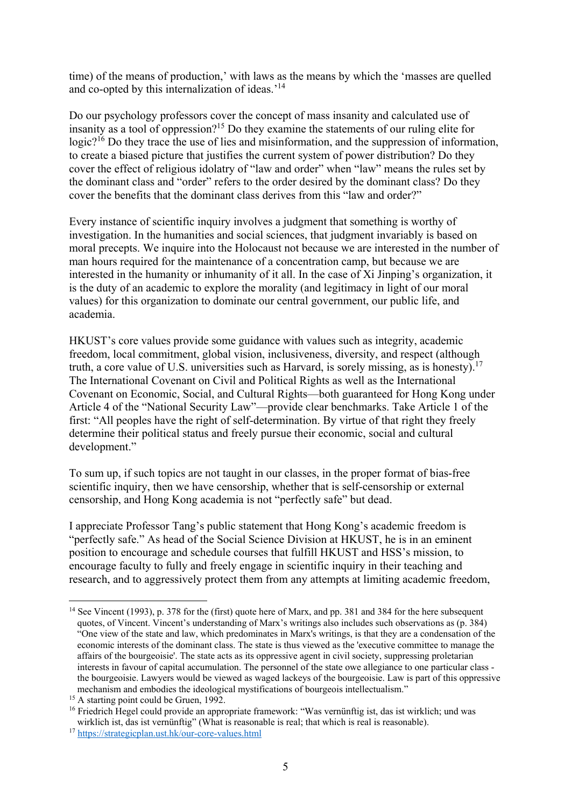time) of the means of production,' with laws as the means by which the 'masses are quelled and co-opted by this internalization of ideas.'14

Do our psychology professors cover the concept of mass insanity and calculated use of insanity as a tool of oppression?<sup>15</sup> Do they examine the statements of our ruling elite for logic?<sup>16</sup> Do they trace the use of lies and misinformation, and the suppression of information, to create a biased picture that justifies the current system of power distribution? Do they cover the effect of religious idolatry of "law and order" when "law" means the rules set by the dominant class and "order" refers to the order desired by the dominant class? Do they cover the benefits that the dominant class derives from this "law and order?"

Every instance of scientific inquiry involves a judgment that something is worthy of investigation. In the humanities and social sciences, that judgment invariably is based on moral precepts. We inquire into the Holocaust not because we are interested in the number of man hours required for the maintenance of a concentration camp, but because we are interested in the humanity or inhumanity of it all. In the case of Xi Jinping's organization, it is the duty of an academic to explore the morality (and legitimacy in light of our moral values) for this organization to dominate our central government, our public life, and academia.

HKUST's core values provide some guidance with values such as integrity, academic freedom, local commitment, global vision, inclusiveness, diversity, and respect (although truth, a core value of U.S. universities such as Harvard, is sorely missing, as is honesty).<sup>17</sup> The International Covenant on Civil and Political Rights as well as the International Covenant on Economic, Social, and Cultural Rights—both guaranteed for Hong Kong under Article 4 of the "National Security Law"—provide clear benchmarks. Take Article 1 of the first: "All peoples have the right of self-determination. By virtue of that right they freely determine their political status and freely pursue their economic, social and cultural development."

To sum up, if such topics are not taught in our classes, in the proper format of bias-free scientific inquiry, then we have censorship, whether that is self-censorship or external censorship, and Hong Kong academia is not "perfectly safe" but dead.

I appreciate Professor Tang's public statement that Hong Kong's academic freedom is "perfectly safe." As head of the Social Science Division at HKUST, he is in an eminent position to encourage and schedule courses that fulfill HKUST and HSS's mission, to encourage faculty to fully and freely engage in scientific inquiry in their teaching and research, and to aggressively protect them from any attempts at limiting academic freedom,

<u>.</u>

<sup>&</sup>lt;sup>14</sup> See Vincent (1993), p. 378 for the (first) quote here of Marx, and pp. 381 and 384 for the here subsequent quotes, of Vincent. Vincent's understanding of Marx's writings also includes such observations as (p. 384) "One view of the state and law, which predominates in Marx's writings, is that they are a condensation of the economic interests of the dominant class. The state is thus viewed as the 'executive committee to manage the affairs of the bourgeoisie'. The state acts as its oppressive agent in civil society, suppressing proletarian interests in favour of capital accumulation. The personnel of the state owe allegiance to one particular class the bourgeoisie. Lawyers would be viewed as waged lackeys of the bourgeoisie. Law is part of this oppressive mechanism and embodies the ideological mystifications of bourgeois intellectualism."

<sup>&</sup>lt;sup>15</sup> A starting point could be Gruen, 1992.

<sup>&</sup>lt;sup>16</sup> Friedrich Hegel could provide an appropriate framework: "Was vernünftig ist, das ist wirklich; und was wirklich ist, das ist vernünftig" (What is reasonable is real; that which is real is reasonable).

<sup>17</sup> https://strategicplan.ust.hk/our-core-values.html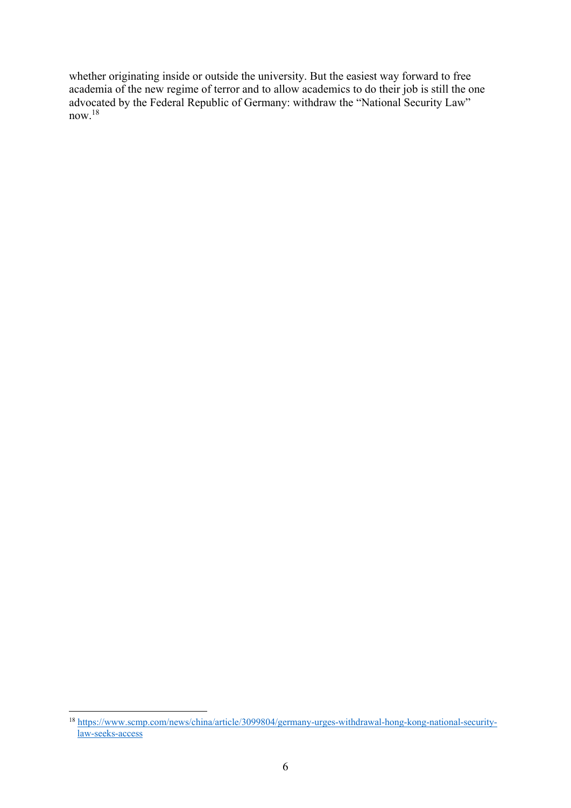whether originating inside or outside the university. But the easiest way forward to free academia of the new regime of terror and to allow academics to do their job is still the one advocated by the Federal Republic of Germany: withdraw the "National Security Law" now.<sup>18</sup>

<sup>1</sup> <sup>18</sup> https://www.scmp.com/news/china/article/3099804/germany-urges-withdrawal-hong-kong-national-securitylaw-seeks-access